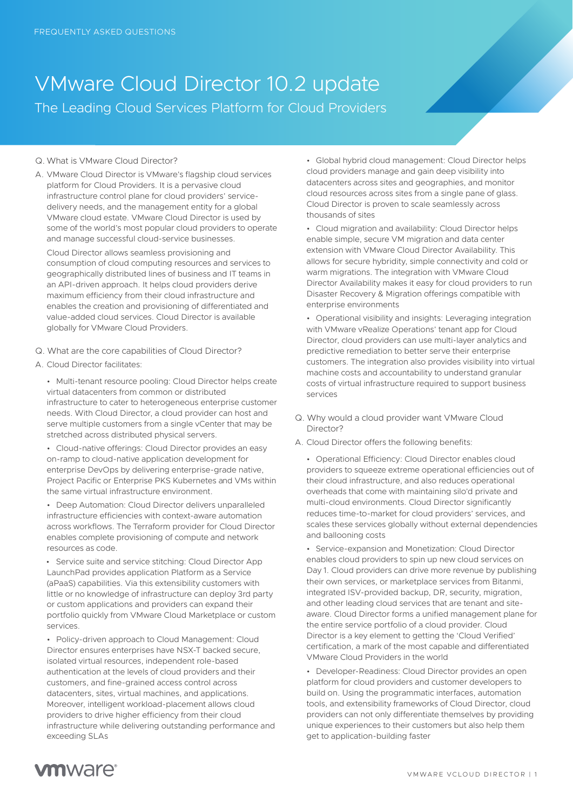## VMware Cloud Director 10.2 update The Leading Cloud Services Platform for Cloud Providers

## Q. What is VMware Cloud Director?

A. VMware Cloud Director is VMware's flagship cloud services platform for Cloud Providers. It is a pervasive cloud infrastructure control plane for cloud providers' servicedelivery needs, and the management entity for a global VMware cloud estate. VMware Cloud Director is used by some of the world's most popular cloud providers to operate and manage successful cloud-service businesses.

Cloud Director allows seamless provisioning and consumption of cloud computing resources and services to geographically distributed lines of business and IT teams in an API-driven approach. It helps cloud providers derive maximum efficiency from their cloud infrastructure and enables the creation and provisioning of differentiated and value-added cloud services. Cloud Director is available globally for VMware Cloud Providers.

- Q. What are the core capabilities of Cloud Director?
- A. Cloud Director facilitates:

• Multi-tenant resource pooling: Cloud Director helps create virtual datacenters from common or distributed infrastructure to cater to heterogeneous enterprise customer needs. With Cloud Director, a cloud provider can host and serve multiple customers from a single vCenter that may be stretched across distributed physical servers.

• Cloud-native offerings: Cloud Director provides an easy on-ramp to cloud-native application development for enterprise DevOps by delivering enterprise-grade native, Project Pacific or Enterprise PKS Kubernetes and VMs within the same virtual infrastructure environment.

• Deep Automation: Cloud Director delivers unparalleled infrastructure efficiencies with context-aware automation across workflows. The Terraform provider for Cloud Director enables complete provisioning of compute and network resources as code.

 • Service suite and service stitching: Cloud Director App LaunchPad provides application Platform as a Service (aPaaS) capabilities. Via this extensibility customers with little or no knowledge of infrastructure can deploy 3rd party or custom applications and providers can expand their portfolio quickly from VMware Cloud Marketplace or custom services.

• Policy-driven approach to Cloud Management: Cloud Director ensures enterprises have NSX-T backed secure, isolated virtual resources, independent role-based authentication at the levels of cloud providers and their customers, and fine-grained access control across datacenters, sites, virtual machines, and applications. Moreover, intelligent workload-placement allows cloud providers to drive higher efficiency from their cloud infrastructure while delivering outstanding performance and exceeding SLAs

• Global hybrid cloud management: Cloud Director helps cloud providers manage and gain deep visibility into datacenters across sites and geographies, and monitor cloud resources across sites from a single pane of glass. Cloud Director is proven to scale seamlessly across thousands of sites

• Cloud migration and availability: Cloud Director helps enable simple, secure VM migration and data center extension with VMware Cloud Director Availability. This allows for secure hybridity, simple connectivity and cold or warm migrations. The integration with VMware Cloud Director Availability makes it easy for cloud providers to run Disaster Recovery & Migration offerings compatible with enterprise environments

• Operational visibility and insights: Leveraging integration with VMware vRealize Operations' tenant app for Cloud Director, cloud providers can use multi-layer analytics and predictive remediation to better serve their enterprise customers. The integration also provides visibility into virtual machine costs and accountability to understand granular costs of virtual infrastructure required to support business services

- Q. Why would a cloud provider want VMware Cloud Director?
- A. Cloud Director offers the following benefits:

• Operational Efficiency: Cloud Director enables cloud providers to squeeze extreme operational efficiencies out of their cloud infrastructure, and also reduces operational overheads that come with maintaining silo'd private and multi-cloud environments. Cloud Director significantly reduces time-to-market for cloud providers' services, and scales these services globally without external dependencies and ballooning costs

• Service-expansion and Monetization: Cloud Director enables cloud providers to spin up new cloud services on Day 1. Cloud providers can drive more revenue by publishing their own services, or marketplace services from Bitanmi, integrated ISV-provided backup, DR, security, migration, and other leading cloud services that are tenant and siteaware. Cloud Director forms a unified management plane for the entire service portfolio of a cloud provider. Cloud Director is a key element to getting the 'Cloud Verified' certification, a mark of the most capable and differentiated VMware Cloud Providers in the world

• Developer-Readiness: Cloud Director provides an open platform for cloud providers and customer developers to build on. Using the programmatic interfaces, automation tools, and extensibility frameworks of Cloud Director, cloud providers can not only differentiate themselves by providing unique experiences to their customers but also help them get to application-building faster